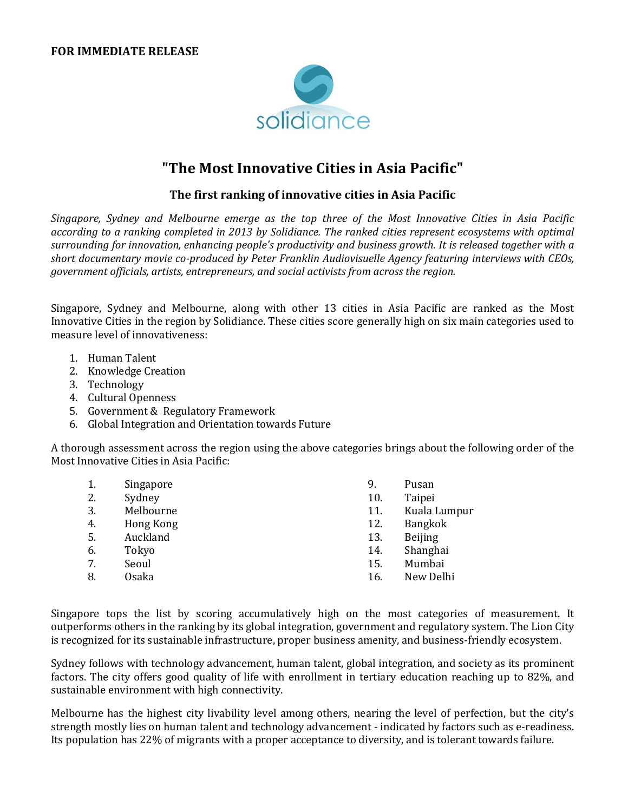

## **"The Most Innovative Cities in Asia Pacific"**

## **The first ranking of innovative cities in Asia Pacific**

*Singapore, Sydney and Melbourne emerge as the top three of the Most Innovative Cities in Asia Pacific according to a ranking completed in 2013 by Solidiance. The ranked cities represent ecosystems with optimal surrounding for innovation, enhancing people's productivity and business growth. It is released together with a short documentary movie co-produced by Peter Franklin Audiovisuelle Agency featuring interviews with CEOs, government officials, artists, entrepreneurs, and social activists from across the region.*

Singapore, Sydney and Melbourne, along with other 13 cities in Asia Pacific are ranked as the Most Innovative Cities in the region by Solidiance. These cities score generally high on six main categories used to measure level of innovativeness:

- 1. Human Talent
- 2. Knowledge Creation
- 3. Technology
- 4. Cultural Openness
- 5. Government & Regulatory Framework
- 6. Global Integration and Orientation towards Future

A thorough assessment across the region using the above categories brings about the following order of the Most Innovative Cities in Asia Pacific:

| 1. | Singapore    | 9.  | Pusan          |
|----|--------------|-----|----------------|
| 2. | Sydney       | 10. | Taipei         |
| 3. | Melbourne    | 11. | Kuala Lumpur   |
| 4. | Hong Kong    | 12. | Bangkok        |
| 5. | Auckland     | 13. | <b>Beijing</b> |
| 6. | Tokyo        | 14. | Shanghai       |
| 7. | Seoul        | 15. | Mumbai         |
| 8. | <b>Osaka</b> | 16. | New Delhi      |
|    |              |     |                |

Singapore tops the list by scoring accumulatively high on the most categories of measurement. It outperforms others in the ranking by its global integration, government and regulatory system. The Lion City is recognized for its sustainable infrastructure, proper business amenity, and business-friendly ecosystem.

Sydney follows with technology advancement, human talent, global integration, and society as its prominent factors. The city offers good quality of life with enrollment in tertiary education reaching up to 82%, and sustainable environment with high connectivity.

Melbourne has the highest city livability level among others, nearing the level of perfection, but the city's strength mostly lies on human talent and technology advancement - indicated by factors such as e-readiness. Its population has 22% of migrants with a proper acceptance to diversity, and is tolerant towards failure.